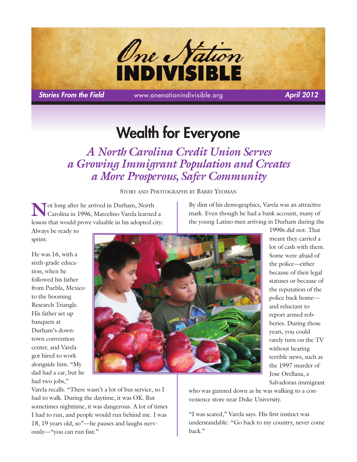

**Stories From the Field** www.onenationindivisible.org **April 2012** 

# **Wealth for Everyone**

*A North Carolina Credit Union Serves a Growing Immigrant Population and Creates a More Prosperous, Safer Community*

STORY AND PHOTOGRAPHS BY BARRY YEOMAN

**N**ot long after he arrived in Durham, North Carolina in 1996, Marcelino Varela learned a lesson that would prove valuable in his adopted city:

By dint of his demographics, Varela was an attractive mark. Even though he had a bank account, many of the young Latino men arriving in Durham during the

Always be ready to sprint.

He was 16, with a sixth-grade education, when he followed his father from Puebla, Mexico to the booming Research Triangle. His father set up banquets at Durham's downtown convention center, and Varela got hired to work alongside him. "My dad had a car, but he had two jobs,"



1990s did not. That meant they carried a lot of cash with them. Some were afraid of the police—either because of their legal statuses or because of the reputation of the police back home and reluctant to report armed robberies. During those years, you could rarely turn on the TV without hearing terrible news, such as the 1997 murder of Jose Orellana, a Salvadoran immigrant

Varela recalls. "There wasn't a lot of bus service, so I had to walk. During the daytime, it was OK. But sometimes nighttime, it was dangerous. A lot of times I had to run, and people would run behind me. I was 18, 19 years old, so"—he pauses and laughs nervously—"you can run fast."

who was gunned down as he was walking to a convenience store near Duke University.

"I was scared," Varela says. His first instinct was understandable: "Go back to my country, never come back."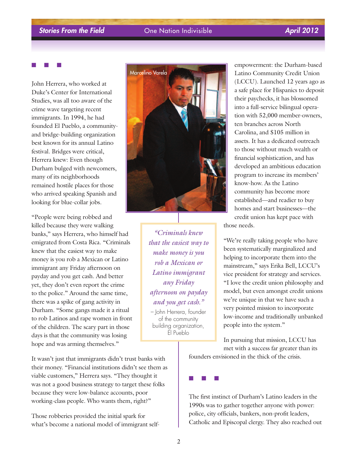### ■ ■ ■

John Herrera, who worked at Duke's Center for International Studies, was all too aware of the crime wave targeting recent immigrants. In 1994, he had founded El Pueblo, a communityand bridge-building organization best known for its annual Latino festival. Bridges were critical, Herrera knew: Even though Durham bulged with newcomers, many of its neighborhoods remained hostile places for those who arrived speaking Spanish and looking for blue-collar jobs.

"People were being robbed and killed because they were walking banks," says Herrera, who himself had emigrated from Costa Rica. "Criminals knew that the easiest way to make money is you rob a Mexican or Latino immigrant any Friday afternoon on payday and you get cash. And better yet, they don't even report the crime to the police." Around the same time, there was a spike of gang activity in Durham. "Some gangs made it a ritual to rob Latinos and rape women in front of the children. The scary part in those days is that the community was losing hope and was arming themselves."

It wasn't just that immigrants didn't trust banks with their money. "Financial institutions didn't see them as viable customers," Herrera says. "They thought it was not a good business strategy to target these folks because they were low-balance accounts, poor working-class people. Who wants them, right?"

Those robberies provided the initial spark for what's become a national model of immigrant self-



*"Criminals knew that the easiest way to make money is you rob a Mexican or Latino immigrant any Friday afternoon on payday and you get cash."* – John Herrera, founder

of the community building organization, El Pueblo

■ ■ ■

empowerment: the Durham-based Latino Community Credit Union (LCCU). Launched 12 years ago as a safe place for Hispanics to deposit their paychecks, it has blossomed into a full-service bilingual operation with 52,000 member-owners, ten branches across North Carolina, and \$105 million in assets. It has a dedicated outreach to those without much wealth or financial sophistication, and has developed an ambitious education program to increase its members' know-how. As the Latino community has become more established—and readier to buy homes and start businesses—the credit union has kept pace with those needs.

"We're really taking people who have been systematically marginalized and helping to incorporate them into the mainstream," says Erika Bell, LCCU's vice president for strategy and services. "I love the credit union philosophy and model, but even amongst credit unions we're unique in that we have such a very pointed mission to incorporate low-income and traditionally unbanked people into the system."

In pursuing that mission, LCCU has met with a success far greater than its founders envisioned in the thick of the crisis.

The first instinct of Durham's Latino leaders in the 1990s was to gather together anyone with power: police, city officials, bankers, non-profit leaders, Catholic and Episcopal clergy. They also reached out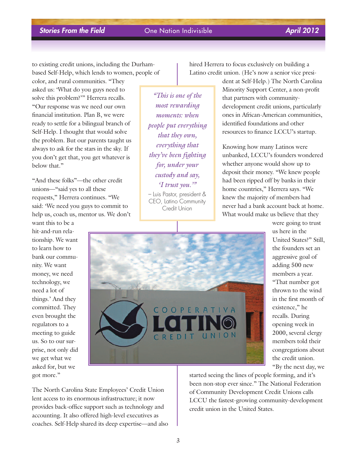to existing credit unions, including the Durhambased Self-Help, which lends to women, people of

color, and rural communities. "They asked us: 'What do you guys need to solve this problem?'" Herrera recalls. "Our response was we need our own financial institution. Plan B, we were ready to settle for a bilingual branch of Self-Help. I thought that would solve the problem. But our parents taught us always to ask for the stars in the sky. If you don't get that, you get whatever is below that."

"And these folks"—the other credit unions—"said yes to all these requests," Herrera continues. "We said: 'We need you guys to commit to help us, coach us, mentor us. We don't

want this to be a hit-and-run relationship. We want to learn how to bank our community. We want money, we need technology, we need a lot of things.' And they committed. They even brought the regulators to a meeting to guide us. So to our surprise, not only did we get what we asked for, but we got more."

*"This is one of the most rewarding moments: when people put everything that they own, everything that they've been fighting for, under your custody and say, 'I trust you.'"* – Luis Pastor, president & CEO, Latino Community Credit Union

hired Herrera to focus exclusively on building a Latino credit union. (He's now a senior vice presi-

> dent at Self-Help.) The North Carolina Minority Support Center, a non-profit that partners with communitydevelopment credit unions, particularly ones in African-American communities, identified foundations and other resources to finance LCCU's startup.

Knowing how many Latinos were unbanked, LCCU's founders wondered whether anyone would show up to deposit their money. "We knew people had been ripped off by banks in their home countries," Herrera says. "We knew the majority of members had never had a bank account back at home. What would make us believe that they



The North Carolina State Employees' Credit Union lent access to its enormous infrastructure; it now provides back-office support such as technology and accounting. It also offered high-level executives as coaches. Self-Help shared its deep expertise—and also started seeing the lines of people forming, and it's been non-stop ever since." The National Federation of Community Development Credit Unions calls LCCU the fastest-growing community-development credit union in the United States.

3

**RE** 

 $D<sub>1</sub>$ 

OOPERATIVA

 $IINION$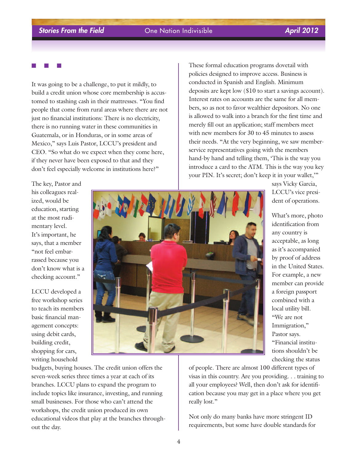■ ■ ■

It was going to be a challenge, to put it mildly, to build a credit union whose core membership is accustomed to stashing cash in their mattresses. "You find people that come from rural areas where there are not just no financial institutions: There is no electricity, there is no running water in these communities in Guatemala, or in Honduras, or in some areas of Mexico," says Luis Pastor, LCCU's president and CEO. "So what do we expect when they come here, if they never have been exposed to that and they don't feel especially welcome in institutions here?"

The key, Pastor and his colleagues realized, would be education, starting at the most rudimentary level. It's important, he says, that a member "not feel embarrassed because you don't know what is a checking account."

LCCU developed a free workshop series to teach its members basic financial management concepts: using debit cards, building credit, shopping for cars, writing household



budgets, buying houses. The credit union offers the seven-week series three times a year at each of its branches. LCCU plans to expand the program to include topics like insurance, investing, and running small businesses. For those who can't attend the workshops, the credit union produced its own educational videos that play at the branches throughout the day.

These formal education programs dovetail with policies designed to improve access. Business is conducted in Spanish and English. Minimum deposits are kept low (\$10 to start a savings account). Interest rates on accounts are the same for all members, so as not to favor wealthier depositors. No one is allowed to walk into a branch for the first time and merely fill out an application; staff members meet with new members for 30 to 45 minutes to assess their needs. "At the very beginning, we saw memberservice representatives going with the members hand-by hand and telling them, 'This is the way you introduce a card to the ATM. This is the way you key your PIN. It's secret; don't keep it in your wallet,'"

> says Vicky Garcia, LCCU's vice president of operations.

What's more, photo identification from any country is acceptable, as long as it's accompanied by proof of address in the United States. For example, a new member can provide a foreign passport combined with a local utility bill. "We are not Immigration," Pastor says. "Financial institutions shouldn't be checking the status

of people. There are almost 100 different types of visas in this country. Are you providing. . . training to all your employees? Well, then don't ask for identification because you may get in a place where you get really lost."

Not only do many banks have more stringent ID requirements, but some have double standards for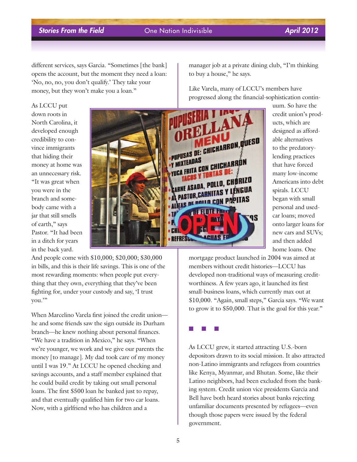different services, says Garcia. "Sometimes [the bank] opens the account, but the moment they need a loan: 'No, no, no, you don't qualify.' They take your money, but they won't make you a loan."

### As LCCU put

down roots in North Carolina, it developed enough credibility to convince immigrants that hiding their money at home was an unnecessary risk. "It was great when you were in the branch and somebody came with a jar that still smells of earth," says Pastor. "It had been in a ditch for years in the back yard.



And people come with \$10,000; \$20,000; \$30,000 in bills, and this is their life savings. This is one of the most rewarding moments: when people put everything that they own, everything that they've been fighting for, under your custody and say, 'I trust you.'"

When Marcelino Varela first joined the credit union he and some friends saw the sign outside its Durham branch—he knew nothing about personal finances. "We have a tradition in Mexico," he says. "When we're younger, we work and we give our parents the money [to manage]. My dad took care of my money until I was 19." At LCCU he opened checking and savings accounts, and a staff member explained that he could build credit by taking out small personal loans. The first \$500 loan he banked just to repay, and that eventually qualified him for two car loans. Now, with a girlfriend who has children and a

manager job at a private dining club, "I'm thinking to buy a house," he says.

Like Varela, many of LCCU's members have progressed along the financial-sophistication contin-

> uum. So have the credit union's products, which are designed as affordable alternatives to the predatorylending practices that have forced many low-income Americans into debt spirals. LCCU began with small personal and usedcar loans; moved onto larger loans for new cars and SUVs; and then added home loans. One

mortgage product launched in 2004 was aimed at members without credit histories—LCCU has developed non-traditional ways of measuring creditworthiness. A few years ago, it launched its first small-business loans, which currently max out at \$10,000. "Again, small steps," Garcia says. "We want to grow it to \$50,000. That is the goal for this year."

■ ■ ■

As LCCU grew, it started attracting U.S.-born depositors drawn to its social mission. It also attracted non-Latino immigrants and refugees from countries like Kenya, Myanmar, and Bhutan. Some, like their Latino neighbors, had been excluded from the banking system. Credit union vice presidents Garcia and Bell have both heard stories about banks rejecting unfamiliar documents presented by refugees—even though those papers were issued by the federal government.

5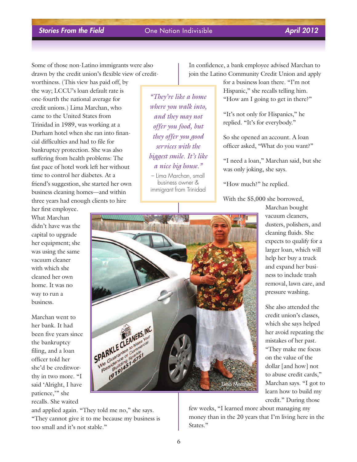Some of those non-Latino immigrants were also drawn by the credit union's flexible view of credit-

worthiness. (This view has paid off, by the way; LCCU's loan default rate is one-fourth the national average for credit unions.) Lima Marchan, who came to the United States from Trinidad in 1989, was working at a Durham hotel when she ran into financial difficulties and had to file for bankruptcy protection. She was also suffering from health problems: The fast pace of hotel work left her without time to control her diabetes. At a friend's suggestion, she started her own business cleaning homes—and within three years had enough clients to hire

her first employee. What Marchan didn't have was the capital to upgrade her equipment; she was using the same vacuum cleaner with which she cleaned her own home. It was no way to run a business.

Marchan went to her bank. It had been five years since the bankruptcy filing, and a loan officer told her she'd be creditworthy in two more. "I said 'Alright, I have patience," she recalls. She waited

*"They're like a home where you walk into, and they may not offer you food, but they offer you good services with the biggest smile. It's like a nice big house."*

– Lima Marchan, small business owner & immigrant from Trinidad

In confidence, a bank employee advised Marchan to join the Latino Community Credit Union and apply

> for a business loan there. "I'm not Hispanic," she recalls telling him. "How am I going to get in there?"

"It's not only for Hispanics," he replied. "It's for everybody."

So she opened an account. A loan officer asked, "What do you want?"

"I need a loan," Marchan said, but she was only joking, she says.

"How much?" he replied.

With the \$5,000 she borrowed,

Marchan bought vacuum cleaners, dusters, polishers, and cleaning fluids. She expects to qualify for a larger loan, which will help her buy a truck and expand her business to include trash removal, lawn care, and pressure washing.

She also attended the credit union's classes, which she says helped her avoid repeating the mistakes of her past. "They make me focus on the value of the dollar [and how] not to abuse credit cards," Marchan says. "I got to learn how to build my credit." During those

few weeks, "I learned more about managing my money than in the 20 years that I'm living here in the States."



and applied again. "They told me no," she says. "They cannot give it to me because my business is too small and it's not stable."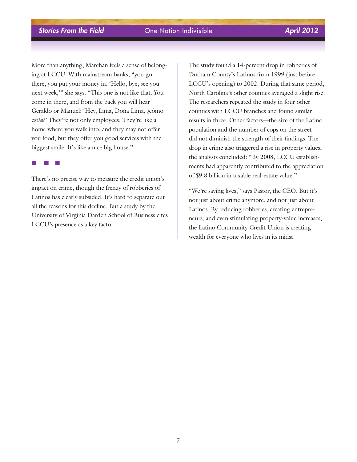More than anything, Marchan feels a sense of belonging at LCCU. With mainstream banks, "you go there, you put your money in, 'Hello, bye, see you next week,'" she says. "This one is not like that. You come in there, and from the back you will hear Geraldo or Manuel: 'Hey, Lima, Doña Lima, ¿cómo estás?' They're not only employees. They're like a home where you walk into, and they may not offer you food, but they offer you good services with the biggest smile. It's like a nice big house."

### ■ ■ ■

There's no precise way to measure the credit union's impact on crime, though the frenzy of robberies of Latinos has clearly subsided. It's hard to separate out all the reasons for this decline. But a study by the University of Virginia Darden School of Business cites LCCU's presence as a key factor.

The study found a 14-percent drop in robberies of Durham County's Latinos from 1999 (just before LCCU's opening) to 2002. During that same period, North Carolina's other counties averaged a slight rise. The researchers repeated the study in four other counties with LCCU branches and found similar results in three. Other factors—the size of the Latino population and the number of cops on the street did not diminish the strength of their findings. The drop in crime also triggered a rise in property values, the analysts concluded: "By 2008, LCCU establishments had apparently contributed to the appreciation of \$9.8 billion in taxable real-estate value."

"We're saving lives," says Pastor, the CEO. But it's not just about crime anymore, and not just about Latinos. By reducing robberies, creating entrepreneurs, and even stimulating property-value increases, the Latino Community Credit Union is creating wealth for everyone who lives in its midst.